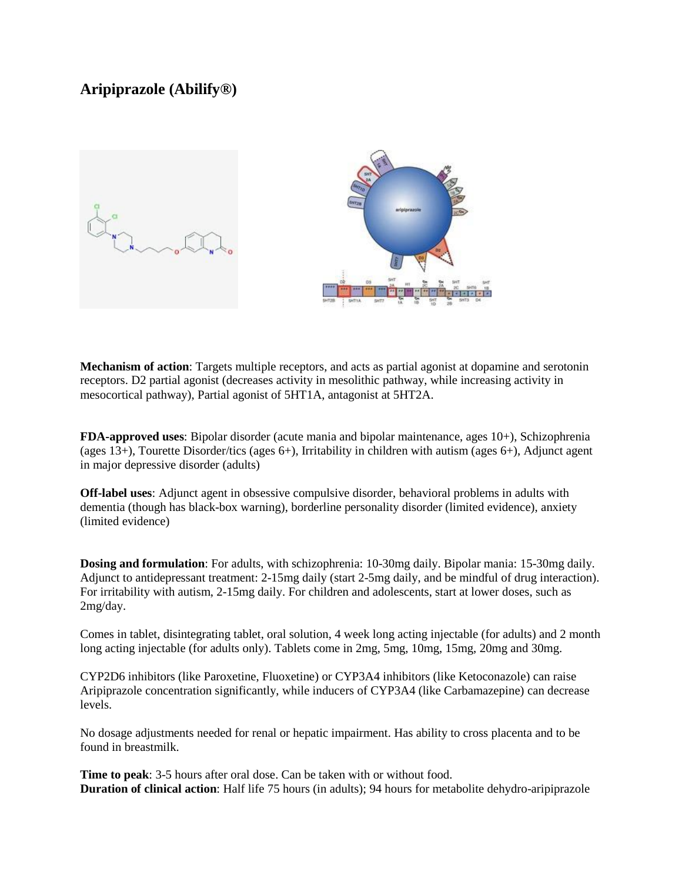# **Aripiprazole (Abilify®)**



**Mechanism of action**: Targets multiple receptors, and acts as partial agonist at dopamine and serotonin receptors. D2 partial agonist (decreases activity in mesolithic pathway, while increasing activity in mesocortical pathway), Partial agonist of 5HT1A, antagonist at 5HT2A.

**FDA-approved uses**: Bipolar disorder (acute mania and bipolar maintenance, ages 10+), Schizophrenia (ages 13+), Tourette Disorder/tics (ages 6+), Irritability in children with autism (ages 6+), Adjunct agent in major depressive disorder (adults)

**Off-label uses**: Adjunct agent in obsessive compulsive disorder, behavioral problems in adults with dementia (though has black-box warning), borderline personality disorder (limited evidence), anxiety (limited evidence)

**Dosing and formulation**: For adults, with schizophrenia: 10-30mg daily. Bipolar mania: 15-30mg daily. Adjunct to antidepressant treatment: 2-15mg daily (start 2-5mg daily, and be mindful of drug interaction). For irritability with autism, 2-15mg daily. For children and adolescents, start at lower doses, such as 2mg/day.

Comes in tablet, disintegrating tablet, oral solution, 4 week long acting injectable (for adults) and 2 month long acting injectable (for adults only). Tablets come in 2mg, 5mg, 10mg, 15mg, 20mg and 30mg.

CYP2D6 inhibitors (like Paroxetine, Fluoxetine) or CYP3A4 inhibitors (like Ketoconazole) can raise Aripiprazole concentration significantly, while inducers of CYP3A4 (like Carbamazepine) can decrease levels.

No dosage adjustments needed for renal or hepatic impairment. Has ability to cross placenta and to be found in breastmilk.

**Time to peak**: 3-5 hours after oral dose. Can be taken with or without food. **Duration of clinical action**: Half life 75 hours (in adults); 94 hours for metabolite dehydro-aripiprazole